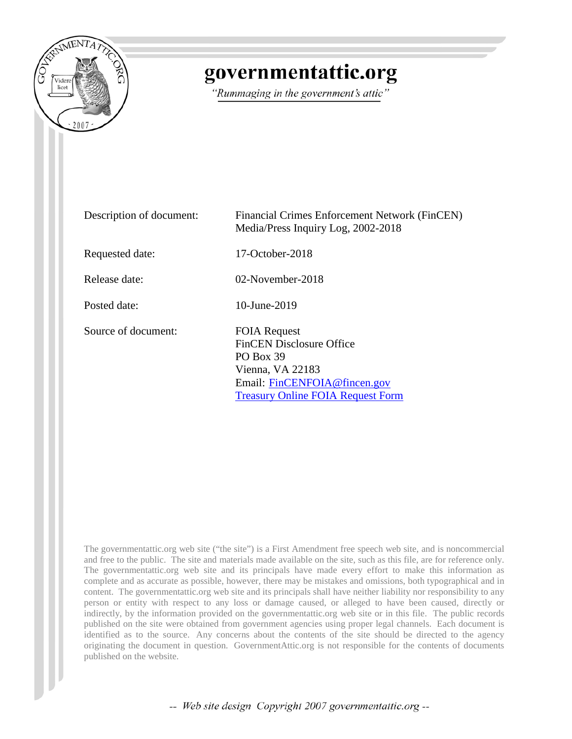

# governmentattic.org

"Rummaging in the government's attic"

| Description of document: | Financial Crimes Enforcement Network (FinCEN)<br>Media/Press Inquiry Log, 2002-2018                                                                                        |
|--------------------------|----------------------------------------------------------------------------------------------------------------------------------------------------------------------------|
| Requested date:          | $17$ -October-2018                                                                                                                                                         |
| Release date:            | $02$ -November-2018                                                                                                                                                        |
| Posted date:             | $10$ -June-2019                                                                                                                                                            |
| Source of document:      | <b>FOIA Request</b><br><b>FinCEN</b> Disclosure Office<br><b>PO Box 39</b><br>Vienna, VA 22183<br>Email: FinCENFOIA@fincen.gov<br><b>Treasury Online FOIA Request Form</b> |

The governmentattic.org web site ("the site") is a First Amendment free speech web site, and is noncommercial and free to the public. The site and materials made available on the site, such as this file, are for reference only. The governmentattic.org web site and its principals have made every effort to make this information as complete and as accurate as possible, however, there may be mistakes and omissions, both typographical and in content. The governmentattic.org web site and its principals shall have neither liability nor responsibility to any person or entity with respect to any loss or damage caused, or alleged to have been caused, directly or indirectly, by the information provided on the governmentattic.org web site or in this file. The public records published on the site were obtained from government agencies using proper legal channels. Each document is identified as to the source. Any concerns about the contents of the site should be directed to the agency originating the document in question. GovernmentAttic.org is not responsible for the contents of documents published on the website.

-- Web site design Copyright 2007 governmentattic.org --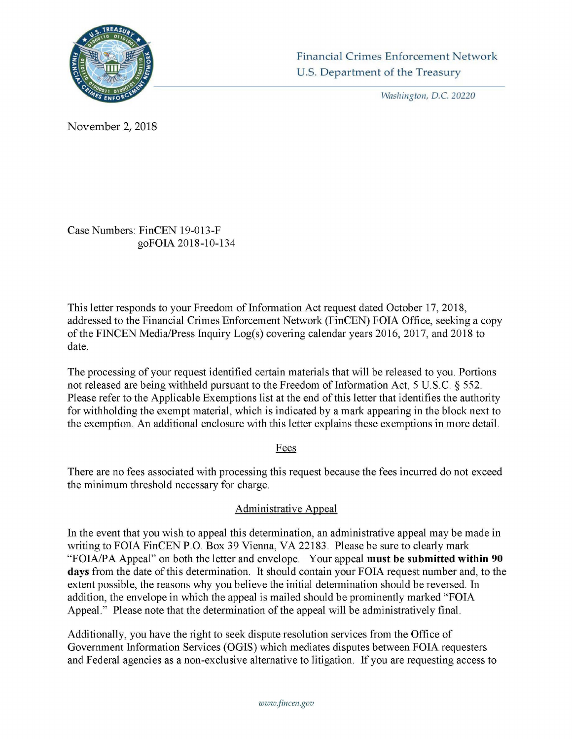

Washington, *D.C.* 20220

November 2, 2018

Case Numbers: FinCEN 19-013-F goFOIA 2018-10-134

This letter responds to your Freedom of Information Act request dated October 17, 2018, addressed to the Financial Crimes Enforcement Network (FinCEN) FOIA Office, seeking a copy of the FINCEN Media/Press Inquiry Log(s) covering calendar years 2016, 2017, and 2018 to date.

The processing of your request identified certain materials that will be released to you. Portions not released are being withheld pursuant to the Freedom of Information Act, 5 U.S.C. § 552. Please refer to the Applicable Exemptions list at the end of this letter that identifies the authority for withholding the exempt material, which is indicated by a mark appearing in the block next to the exemption. An additional enclosure with this letter explains these exemptions in more detail.

#### Fees

There are no fees associated with processing this request because the fees incurred do not exceed the minimum threshold necessary for charge.

## Administrative Appeal

In the event that you wish to appeal this determination, an administrative appeal may be made in writing to FOIA FinCEN P.O. Box 39 Vienna, VA 22183. Please be sure to clearly mark "FOIA/PA Appeal" on both the letter and envelope. Your appeal **must be submitted within 90 days** from the date of this determination. It should contain your FOIA request number and, to the extent possible, the reasons why you believe the initial determination should be reversed. In addition, the envelope in which the appeal is mailed should be prominently marked "FOIA Appeal." Please note that the determination of the appeal will be administratively final.

Additionally, you have the right to seek dispute resolution services from the Office of Government Information Services (OGIS) which mediates disputes between FOIA requesters and Federal agencies as a non-exclusive alternative to litigation. If you are requesting access to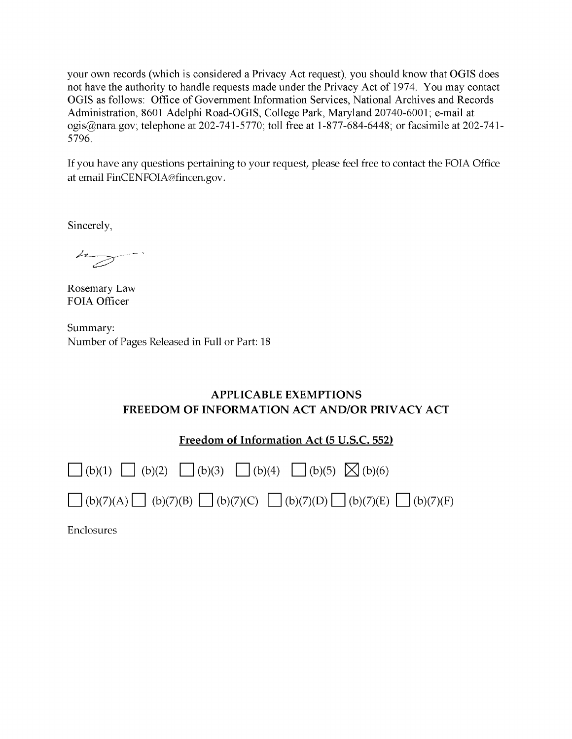your own records (which is considered a Privacy Act request), you should know that OGIS does not have the authority to handle requests made under the Privacy Act of 1974. You may contact OGIS as follows: Office of Government Information Services, National Archives and Records Administration, 8601 Adelphi Road-OGIS, College Park, Maryland 20740-6001; e-mail at ogis@nara.gov; telephone at 202-741-5770; toll free at 1-877-684-6448; or facsimile at 202-741- 5796.

If you have any questions pertaining to your request, please feel free to contact the FOIA Office at email FinCENFOIA@fincen.gov.

Sincerely,

Rosemary Law FOIA Officer

Summary: Number of Pages Released in Full or Part: 18

#### **APPLICABLE EXEMPTIONS FREEDOM OF INFORMATION ACT AND/OR PRIVACY ACT**

**Freedom of Information Act (5 U.S.C. 552)** 

| $\Box$ (b)(1) $\Box$ (b)(2) $\Box$ (b)(3) $\Box$ (b)(4) $\Box$ (b)(5) $\boxtimes$ (b)(6)              |  |
|-------------------------------------------------------------------------------------------------------|--|
| $\Box$ (b)(7)(A) $\Box$ (b)(7)(B) $\Box$ (b)(7)(C) $\Box$ (b)(7)(D) $\Box$ (b)(7)(E) $\Box$ (b)(7)(F) |  |

Enclosures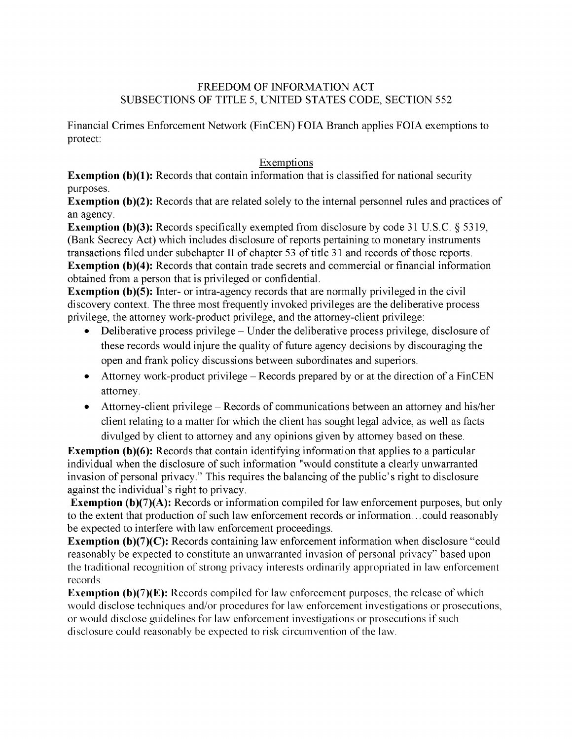#### FREEDOM OF INFORMATION ACT SUBSECTIONS OF TITLE 5, UNITED STATES CODE, SECTION 552

Financial Crimes Enforcement Network (FinCEN) FOIA Branch applies FOIA exemptions to protect:

### Exemptions

**Exemption (b)(1):** Records that contain information that is classified for national security purposes.

**Exemption (b)(2):** Records that are related solely to the internal personnel rules and practices of an agency.

**Exemption (b)(3):** Records specifically exempted from disclosure by code 31 U.S.C. § 5319, (Bank Secrecy Act) which includes disclosure of reports pertaining to monetary instruments transactions filed under subchapter II of chapter 53 of title 31 and records of those reports. **Exemption (b)(4):** Records that contain trade secrets and commercial or financial information obtained from a person that is privileged or confidential.

**Exemption (b)(5):** Inter- or intra-agency records that are normally privileged in the civil discovery context. The three most frequently invoked privileges are the deliberative process privilege, the attorney work-product privilege, and the attorney-client privilege:

- Deliberative process privilege Under the deliberative process privilege, disclosure of these records would injure the quality of future agency decisions by discouraging the open and frank policy discussions between subordinates and superiors.
- Attorney work-product privilege Records prepared by or at the direction of a FinCEN attorney.
- Attorney-client privilege Records of communications between an attorney and his/her client relating to a matter for which the client has sought legal advice, as well as facts divulged by client to attorney and any opinions given by attorney based on these.

**Exemption (b)(6):** Records that contain identifying information that applies to a particular individual when the disclosure of such information "would constitute a clearly unwarranted invasion of personal privacy." This requires the balancing of the public's right to disclosure against the individual's right to privacy.

**Exemption (b)(7)(A):** Records or information compiled for law enforcement purposes, but only to the extent that production of such law enforcement records or information ... could reasonably be expected to interfere with law enforcement proceedings.

**Exemption (b)(7)(C):** Records containing law enforcement information when disclosure "could reasonably be expected to constitute an unwarranted invasion of personal privacy" based upon the traditional recognition of strong privacy interests ordinarily appropriated in law enforcement records.

**Exemption (b)(7)(E):** Records compiled for law enforcement purposes, the release of which would disclose techniques and/or procedures for law enforcement investigations or prosecutions, or would disclose guidelines for law enforcement investigations or prosecutions if such disclosure could reasonably be expected to risk circumvention of the law.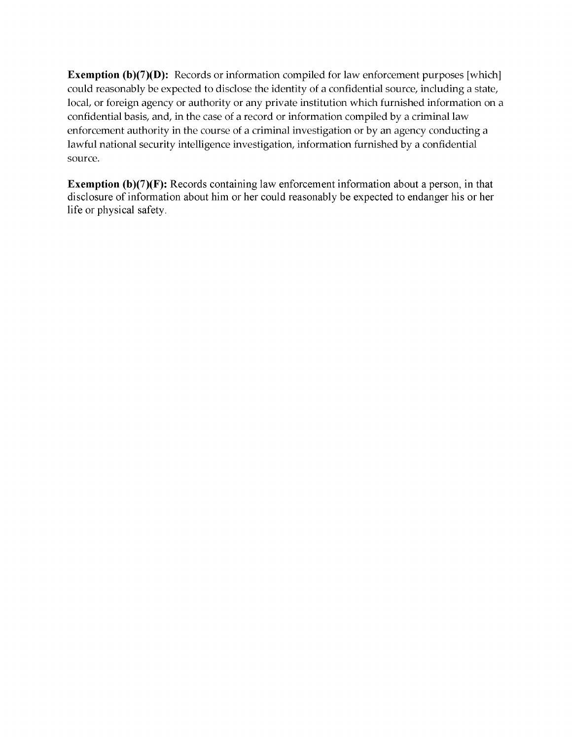**Exemption (b)(7)(D):** Records or information compiled for law enforcement purposes [which] could reasonably be expected to disclose the identity of a confidential source, including a state, local, or foreign agency or authority or any private institution which furnished information on a confidential basis, and, in the case of a record or information compiled by a criminal law enforcement authority in the course of a criminal investigation or by an agency conducting a lawful national security intelligence investigation, information furnished by a confidential source.

**Exemption (b)(7)(F):** Records containing law enforcement information about a person, in that disclosure of information about him or her could reasonably be expected to endanger his or her life or physical safety.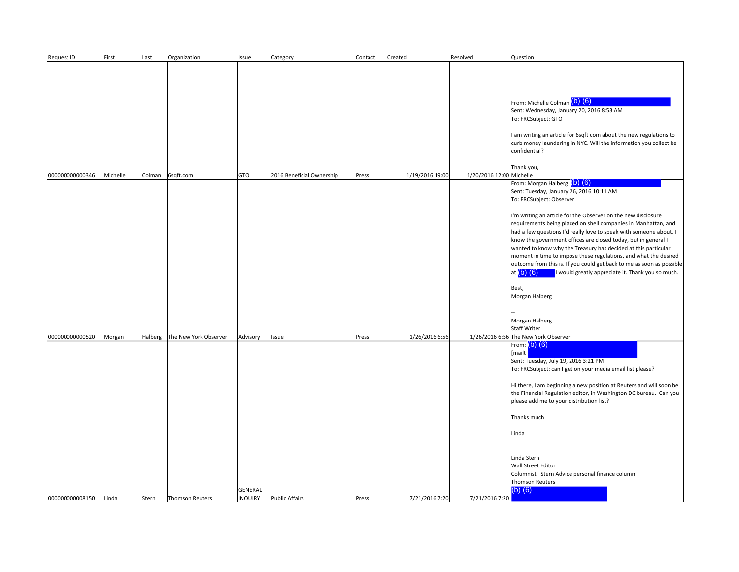| Request ID                         | First           | Last             | Organization                                    | Issue                                 | Category                       | Contact        | Created                          | Resolved                 | Question                                                                                                                                                                                                                                                                                                                                                                                                                                                                                                                                                                                                                                                                                                                                  |
|------------------------------------|-----------------|------------------|-------------------------------------------------|---------------------------------------|--------------------------------|----------------|----------------------------------|--------------------------|-------------------------------------------------------------------------------------------------------------------------------------------------------------------------------------------------------------------------------------------------------------------------------------------------------------------------------------------------------------------------------------------------------------------------------------------------------------------------------------------------------------------------------------------------------------------------------------------------------------------------------------------------------------------------------------------------------------------------------------------|
| 00000000000346                     | Michelle        | Colman           | 6sqft.com                                       | GTO                                   | 2016 Beneficial Ownership      | Press          | 1/19/2016 19:00                  | 1/20/2016 12:00 Michelle | From: Michelle Colman (b) (6)<br>Sent: Wednesday, January 20, 2016 8:53 AM<br>To: FRCSubject: GTO<br>I am writing an article for 6sqft com about the new regulations to<br>curb money laundering in NYC. Will the information you collect be<br>confidential?<br>Thank you,                                                                                                                                                                                                                                                                                                                                                                                                                                                               |
|                                    |                 |                  |                                                 |                                       |                                |                |                                  |                          | From: Morgan Halberg (b) (6)<br>Sent: Tuesday, January 26, 2016 10:11 AM<br>To: FRCSubject: Observer<br>I'm writing an article for the Observer on the new disclosure<br>requirements being placed on shell companies in Manhattan, and<br>had a few questions I'd really love to speak with someone about. I<br>know the government offices are closed today, but in general I<br>wanted to know why the Treasury has decided at this particular<br>moment in time to impose these regulations, and what the desired<br>outcome from this is. If you could get back to me as soon as possible<br>at $(b)$ $(6)$<br>I would greatly appreciate it. Thank you so much.<br>Best,<br>Morgan Halberg<br>Morgan Halberg<br><b>Staff Writer</b> |
| 000000000000520<br>000000000008150 | Morgan<br>Linda | Halberg<br>Stern | The New York Observer<br><b>Thomson Reuters</b> | Advisory<br>GENERAL<br><b>INQUIRY</b> | Issue<br><b>Public Affairs</b> | Press<br>Press | 1/26/2016 6:56<br>7/21/2016 7:20 | 7/21/2016 7:20           | 1/26/2016 6:56 The New York Observer<br>From: $(b)$ $(6)$<br>[mailt  <br>Sent: Tuesday, July 19, 2016 3:21 PM<br>To: FRCSubject: can I get on your media email list please?<br>Hi there, I am beginning a new position at Reuters and will soon be<br>the Financial Regulation editor, in Washington DC bureau. Can you<br>please add me to your distribution list?<br>Thanks much<br>Linda<br>Linda Stern<br><b>Wall Street Editor</b><br>Columnist, Stern Advice personal finance column<br><b>Thomson Reuters</b><br>$(b)$ $(6)$                                                                                                                                                                                                       |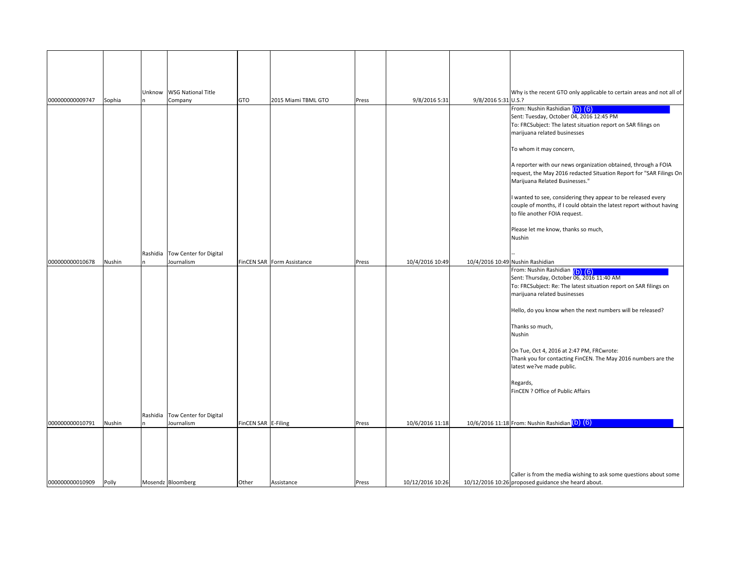|                 |        | Unknow   | <b>WSG National Title</b>                     |                     |                            |       |                  |                     | Why is the recent GTO only applicable to certain areas and not all of                                                                                                                                                                                                                                                                                                                                                                                                   |
|-----------------|--------|----------|-----------------------------------------------|---------------------|----------------------------|-------|------------------|---------------------|-------------------------------------------------------------------------------------------------------------------------------------------------------------------------------------------------------------------------------------------------------------------------------------------------------------------------------------------------------------------------------------------------------------------------------------------------------------------------|
| 000000000009747 | Sophia |          | Company                                       | GTO                 | 2015 Miami TBML GTO        | Press | 9/8/2016 5:31    | 9/8/2016 5:31 U.S.? | From: Nushin Rashidian (b) (6)                                                                                                                                                                                                                                                                                                                                                                                                                                          |
|                 |        |          |                                               |                     |                            |       |                  |                     | Sent: Tuesday, October 04, 2016 12:45 PM<br>To: FRCSubject: The latest situation report on SAR filings on<br>marijuana related businesses                                                                                                                                                                                                                                                                                                                               |
|                 |        |          |                                               |                     |                            |       |                  |                     | To whom it may concern,                                                                                                                                                                                                                                                                                                                                                                                                                                                 |
|                 |        |          |                                               |                     |                            |       |                  |                     | A reporter with our news organization obtained, through a FOIA<br>request, the May 2016 redacted Situation Report for "SAR Filings On<br>Marijuana Related Businesses."                                                                                                                                                                                                                                                                                                 |
|                 |        |          |                                               |                     |                            |       |                  |                     | I wanted to see, considering they appear to be released every<br>couple of months, if I could obtain the latest report without having<br>to file another FOIA request.                                                                                                                                                                                                                                                                                                  |
|                 |        |          |                                               |                     |                            |       |                  |                     | Please let me know, thanks so much,<br>Nushin                                                                                                                                                                                                                                                                                                                                                                                                                           |
| 000000000010678 | Nushin |          | Rashidia Tow Center for Digital<br>Journalism |                     | FinCEN SAR Form Assistance | Press | 10/4/2016 10:49  |                     | 10/4/2016 10:49 Nushin Rashidian                                                                                                                                                                                                                                                                                                                                                                                                                                        |
|                 |        | Rashidia | Tow Center for Digital                        |                     |                            |       |                  |                     | From: Nushin Rashidian (b) (6)<br>Sent: Thursday, October 06, 2016 11:40 AM<br>To: FRCSubject: Re: The latest situation report on SAR filings on<br>marijuana related businesses<br>Hello, do you know when the next numbers will be released?<br>Thanks so much,<br>Nushin<br>On Tue, Oct 4, 2016 at 2:47 PM, FRCwrote:<br>Thank you for contacting FinCEN. The May 2016 numbers are the<br>latest we?ve made public.<br>Regards,<br>FinCEN ? Office of Public Affairs |
| 000000000010791 | Nushin |          | Journalism                                    | FinCEN SAR E-Filing |                            | Press | 10/6/2016 11:18  |                     | 10/6/2016 11:18 From: Nushin Rashidian (b) (6)                                                                                                                                                                                                                                                                                                                                                                                                                          |
| 000000000010909 | Polly  |          | Mosendz Bloomberg                             | Other               | Assistance                 | Press | 10/12/2016 10:26 |                     | Caller is from the media wishing to ask some questions about some<br>10/12/2016 10:26 proposed guidance she heard about.                                                                                                                                                                                                                                                                                                                                                |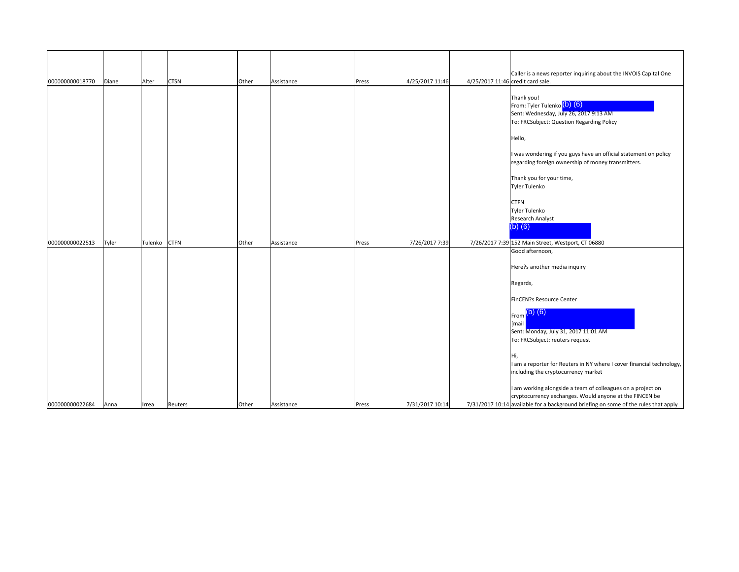| 000000000018770 | Diane | Alter   | <b>CTSN</b> | Other | Assistance | Press | 4/25/2017 11:46 | 4/25/2017 11:46 credit card sale. | Caller is a news reporter inquiring about the INVOIS Capital One                                                                                                                                                                                                                                                                                                                              |
|-----------------|-------|---------|-------------|-------|------------|-------|-----------------|-----------------------------------|-----------------------------------------------------------------------------------------------------------------------------------------------------------------------------------------------------------------------------------------------------------------------------------------------------------------------------------------------------------------------------------------------|
|                 |       |         |             |       |            |       |                 |                                   | Thank you!<br>From: Tyler Tulenko (b) (6)<br>Sent: Wednesday, July 26, 2017 9:13 AM<br>To: FRCSubject: Question Regarding Policy<br>Hello,<br>I was wondering if you guys have an official statement on policy<br>regarding foreign ownership of money transmitters.<br>Thank you for your time,<br>Tyler Tulenko<br><b>CTFN</b><br>Tyler Tulenko<br>Research Analyst<br>$(b)$ $(6)$          |
| 000000000022513 | Tyler | Tulenko | <b>CTFN</b> | Other | Assistance | Press | 7/26/2017 7:39  |                                   | 7/26/2017 7:39 152 Main Street, Westport, CT 06880                                                                                                                                                                                                                                                                                                                                            |
|                 |       |         |             |       |            |       |                 |                                   | Good afternoon,<br>Here?s another media inquiry<br>Regards,<br>FinCEN?s Resource Center<br>$F_{\text{rom}}$ (b) (6)<br>[mail<br>Sent: Monday, July 31, 2017 11:01 AM<br>To: FRCSubject: reuters request<br>Hi,<br>I am a reporter for Reuters in NY where I cover financial technology,<br>including the cryptocurrency market<br>I am working alongside a team of colleagues on a project on |
| 000000000022684 | Anna  | Irrea   | Reuters     | Other | Assistance | Press | 7/31/2017 10:14 |                                   | cryptocurrency exchanges. Would anyone at the FINCEN be<br>$7/31/2017$ 10:14 available for a background briefing on some of the rules that apply                                                                                                                                                                                                                                              |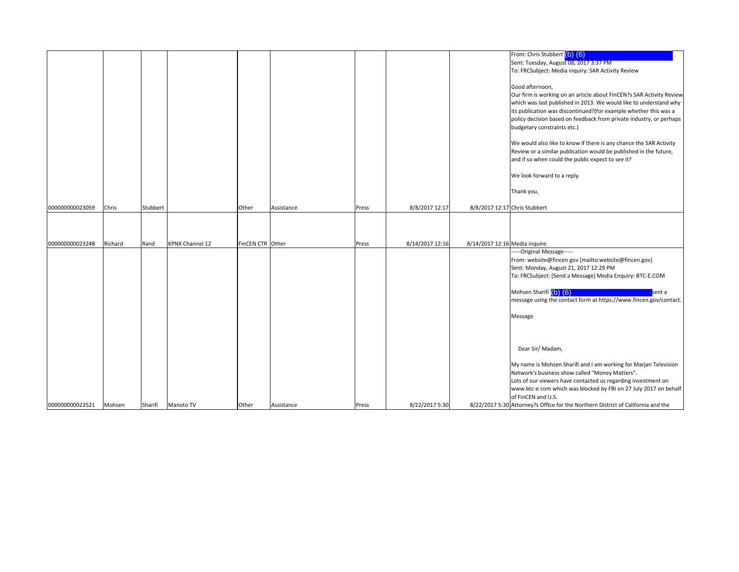|                 |         |          |                        |                  |            |       |                 |                                | From: Chris Stubbert (b) (6)                                                     |
|-----------------|---------|----------|------------------------|------------------|------------|-------|-----------------|--------------------------------|----------------------------------------------------------------------------------|
|                 |         |          |                        |                  |            |       |                 |                                | Sent: Tuesday, August 08, 2017 3:37 PM                                           |
|                 |         |          |                        |                  |            |       |                 |                                | To: FRCSubject: Media inquiry: SAR Activity Review                               |
|                 |         |          |                        |                  |            |       |                 |                                |                                                                                  |
|                 |         |          |                        |                  |            |       |                 |                                | Good afternoon,                                                                  |
|                 |         |          |                        |                  |            |       |                 |                                | Our firm is working on an article about FinCEN?s SAR Activity Review             |
|                 |         |          |                        |                  |            |       |                 |                                | which was last published in 2013. We would like to understand why                |
|                 |         |          |                        |                  |            |       |                 |                                | its publication was discontinued?(for example whether this was a                 |
|                 |         |          |                        |                  |            |       |                 |                                | policy decision based on feedback from private industry, or perhaps              |
|                 |         |          |                        |                  |            |       |                 |                                | budgetary constraints etc.)                                                      |
|                 |         |          |                        |                  |            |       |                 |                                |                                                                                  |
|                 |         |          |                        |                  |            |       |                 |                                | We would also like to know if there is any chance the SAR Activity               |
|                 |         |          |                        |                  |            |       |                 |                                | Review or a similar publication would be published in the future,                |
|                 |         |          |                        |                  |            |       |                 |                                | and if so when could the public expect to see it?                                |
|                 |         |          |                        |                  |            |       |                 |                                |                                                                                  |
|                 |         |          |                        |                  |            |       |                 |                                | We look forward to a reply.                                                      |
|                 |         |          |                        |                  |            |       |                 |                                | Thank you,                                                                       |
|                 |         |          |                        |                  |            |       |                 |                                |                                                                                  |
| 000000000023059 | Chris   | Stubbert |                        | Other            | Assistance | Press | 8/8/2017 12:17  | 8/8/2017 12:17 Chris Stubbert  |                                                                                  |
|                 |         |          |                        |                  |            |       |                 |                                |                                                                                  |
|                 |         |          |                        |                  |            |       |                 |                                |                                                                                  |
|                 |         |          |                        |                  |            |       |                 |                                |                                                                                  |
| 000000000023248 | Richard | Rand     | <b>KPNX Channel 12</b> | FinCEN CTR Other |            | Press | 8/14/2017 12:16 | 8/14/2017 12:16 Media inquire. |                                                                                  |
|                 |         |          |                        |                  |            |       |                 |                                | --Original Message-----                                                          |
|                 |         |          |                        |                  |            |       |                 |                                | From: website@fincen gov [mailto:website@fincen.gov]                             |
|                 |         |          |                        |                  |            |       |                 |                                | Sent: Monday, August 21, 2017 12:29 PM                                           |
|                 |         |          |                        |                  |            |       |                 |                                | To: FRCSubject: [Send a Message] Media Enquiry: BTC-E.COM                        |
|                 |         |          |                        |                  |            |       |                 |                                |                                                                                  |
|                 |         |          |                        |                  |            |       |                 |                                | Mohsen Sharifi (b) (6)<br>sent a                                                 |
|                 |         |          |                        |                  |            |       |                 |                                | message using the contact form at https://www.fincen.gov/contact.                |
|                 |         |          |                        |                  |            |       |                 |                                |                                                                                  |
|                 |         |          |                        |                  |            |       |                 |                                | Message                                                                          |
|                 |         |          |                        |                  |            |       |                 |                                |                                                                                  |
|                 |         |          |                        |                  |            |       |                 |                                |                                                                                  |
|                 |         |          |                        |                  |            |       |                 |                                |                                                                                  |
|                 |         |          |                        |                  |            |       |                 |                                | Dear Sir/Madam,                                                                  |
|                 |         |          |                        |                  |            |       |                 |                                |                                                                                  |
|                 |         |          |                        |                  |            |       |                 |                                | My name is Mohsen Sharifi and I am working for Marjan Television                 |
|                 |         |          |                        |                  |            |       |                 |                                | Network's business show called "Money Matters".                                  |
|                 |         |          |                        |                  |            |       |                 |                                | Lots of our viewers have contacted us regarding investment on                    |
|                 |         |          |                        |                  |            |       |                 |                                | www.btc-e com which was blocked by FBI on 27 July 2017 on behalf                 |
|                 |         |          |                        |                  |            |       |                 |                                | of FinCEN and U.S.                                                               |
| 000000000023521 | Mohsen  | Sharifi  | Manoto TV              | Other            | Assistance | Press | 8/22/2017 5:30  |                                | 8/22/2017 5:30 Attorney?s Office for the Northern District of California and the |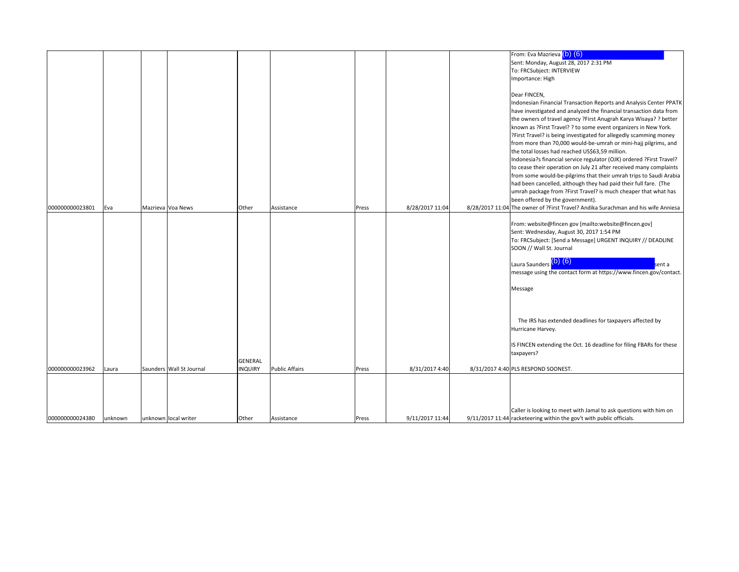|                 |         |                          |                |                       |       |                 | From: Eva Mazrieva (b) (6)                                                                                                               |
|-----------------|---------|--------------------------|----------------|-----------------------|-------|-----------------|------------------------------------------------------------------------------------------------------------------------------------------|
|                 |         |                          |                |                       |       |                 | Sent: Monday, August 28, 2017 2:31 PM                                                                                                    |
|                 |         |                          |                |                       |       |                 | To: FRCSubject: INTERVIEW                                                                                                                |
|                 |         |                          |                |                       |       |                 | Importance: High                                                                                                                         |
|                 |         |                          |                |                       |       |                 | Dear FINCEN,                                                                                                                             |
|                 |         |                          |                |                       |       |                 | Indonesian Financial Transaction Reports and Analysis Center PPATK                                                                       |
|                 |         |                          |                |                       |       |                 | have investigated and analyzed the financial transaction data from                                                                       |
|                 |         |                          |                |                       |       |                 | the owners of travel agency ?First Anugrah Karya Wisaya? ? better                                                                        |
|                 |         |                          |                |                       |       |                 | known as ?First Travel? ? to some event organizers in New York.                                                                          |
|                 |         |                          |                |                       |       |                 | ?First Travel? is being investigated for allegedly scamming money                                                                        |
|                 |         |                          |                |                       |       |                 | from more than 70,000 would-be-umrah or mini-hajj pilgrims, and                                                                          |
|                 |         |                          |                |                       |       |                 | the total losses had reached US\$63,59 million.                                                                                          |
|                 |         |                          |                |                       |       |                 | Indonesia?s financial service regulator (OJK) ordered ?First Travel?                                                                     |
|                 |         |                          |                |                       |       |                 | to cease their operation on July 21 after received many complaints<br>from some would-be-pilgrims that their umrah trips to Saudi Arabia |
|                 |         |                          |                |                       |       |                 | had been cancelled, although they had paid their full fare. (The                                                                         |
|                 |         |                          |                |                       |       |                 | umrah package from ?First Travel? is much cheaper that what has                                                                          |
|                 |         |                          |                |                       |       |                 | been offered by the government).                                                                                                         |
| 000000000023801 | Eva     | Mazrieva Voa News        | Other          | Assistance            | Press | 8/28/2017 11:04 | 8/28/2017 11:04 The owner of ?First Travel? Andika Surachman and his wife Anniesa                                                        |
|                 |         |                          |                |                       |       |                 |                                                                                                                                          |
|                 |         |                          |                |                       |       |                 | From: website@fincen gov [mailto:website@fincen.gov]                                                                                     |
|                 |         |                          |                |                       |       |                 | Sent: Wednesday, August 30, 2017 1:54 PM                                                                                                 |
|                 |         |                          |                |                       |       |                 | To: FRCSubject: [Send a Message] URGENT INQUIRY // DEADLINE                                                                              |
|                 |         |                          |                |                       |       |                 | SOON // Wall St. Journal                                                                                                                 |
|                 |         |                          |                |                       |       |                 | Laura Saunders (b) (6)<br>sent a                                                                                                         |
|                 |         |                          |                |                       |       |                 | message using the contact form at https://www.fincen.gov/contact.                                                                        |
|                 |         |                          |                |                       |       |                 |                                                                                                                                          |
|                 |         |                          |                |                       |       |                 | Message                                                                                                                                  |
|                 |         |                          |                |                       |       |                 |                                                                                                                                          |
|                 |         |                          |                |                       |       |                 |                                                                                                                                          |
|                 |         |                          |                |                       |       |                 |                                                                                                                                          |
|                 |         |                          |                |                       |       |                 | The IRS has extended deadlines for taxpayers affected by                                                                                 |
|                 |         |                          |                |                       |       |                 | Hurricane Harvey.                                                                                                                        |
|                 |         |                          |                |                       |       |                 | IS FINCEN extending the Oct. 16 deadline for filing FBARs for these                                                                      |
|                 |         |                          |                |                       |       |                 | taxpayers?                                                                                                                               |
|                 |         |                          | <b>GENERAL</b> |                       |       |                 |                                                                                                                                          |
| 000000000023962 | Laura   | Saunders Wall St Journal | <b>NQUIRY</b>  | <b>Public Affairs</b> | Press | 8/31/2017 4:40  | 8/31/2017 4:40 PLS RESPOND SOONEST.                                                                                                      |
|                 |         |                          |                |                       |       |                 |                                                                                                                                          |
|                 |         |                          |                |                       |       |                 |                                                                                                                                          |
|                 |         |                          |                |                       |       |                 |                                                                                                                                          |
|                 |         |                          |                |                       |       |                 |                                                                                                                                          |
|                 |         |                          |                |                       |       |                 | Caller is looking to meet with Jamal to ask questions with him on                                                                        |
| 000000000024380 | unknown | unknown local writer     | Other          | Assistance            | Press | 9/11/2017 11:44 | 9/11/2017 11:44 racketeering within the gov't with public officials.                                                                     |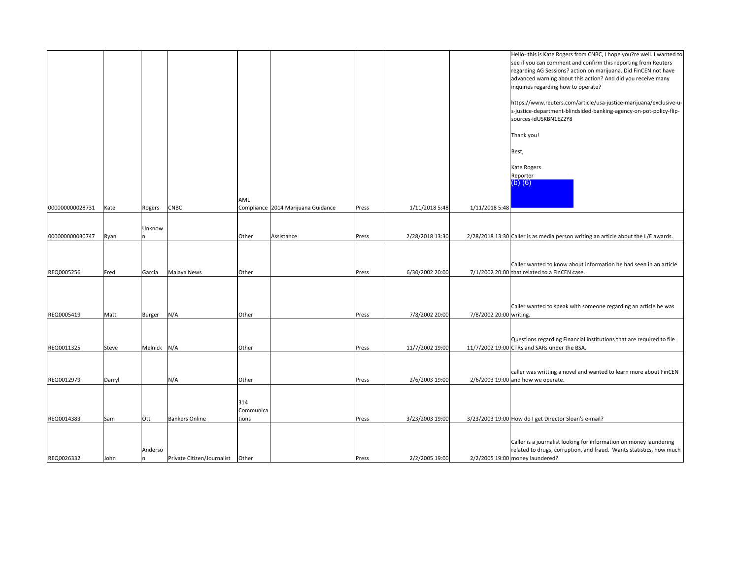|                 |        |              |                                  |                           |                                    |       |                 |                         | Hello-this is Kate Rogers from CNBC, I hope you?re well. I wanted to<br>see if you can comment and confirm this reporting from Reuters<br>regarding AG Sessions? action on marijuana. Did FinCEN not have<br>advanced warning about this action? And did you receive many<br>inquiries regarding how to operate?<br>https://www.reuters.com/article/usa-justice-marijuana/exclusive-u-<br>s-justice-department-blindsided-banking-agency-on-pot-policy-flip-<br>sources-idUSKBN1EZ2Y8 |
|-----------------|--------|--------------|----------------------------------|---------------------------|------------------------------------|-------|-----------------|-------------------------|---------------------------------------------------------------------------------------------------------------------------------------------------------------------------------------------------------------------------------------------------------------------------------------------------------------------------------------------------------------------------------------------------------------------------------------------------------------------------------------|
|                 |        |              |                                  |                           |                                    |       |                 |                         | Thank you!<br>Best,                                                                                                                                                                                                                                                                                                                                                                                                                                                                   |
|                 |        |              |                                  | AML                       |                                    |       |                 |                         | Kate Rogers<br>Reporter<br>$(b)$ $(6)$                                                                                                                                                                                                                                                                                                                                                                                                                                                |
| 000000000028731 | Kate   | Rogers       | <b>CNBC</b>                      |                           | Compliance 2014 Marijuana Guidance | Press | 1/11/2018 5:48  | 1/11/2018 5:48          |                                                                                                                                                                                                                                                                                                                                                                                                                                                                                       |
| 000000000030747 | Ryan   | Unknow       |                                  | Other                     | Assistance                         | Press | 2/28/2018 13:30 |                         | 2/28/2018 13:30 Caller is as media person writing an article about the L/E awards.                                                                                                                                                                                                                                                                                                                                                                                                    |
| REQ0005256      | Fred   | Garcia       | Malaya News                      | Other                     |                                    | Press | 6/30/2002 20:00 |                         | Caller wanted to know about information he had seen in an article<br>7/1/2002 20:00 that related to a FinCEN case.                                                                                                                                                                                                                                                                                                                                                                    |
| REQ0005419      | Matt   | Burger       | N/A                              | Other                     |                                    | Press | 7/8/2002 20:00  | 7/8/2002 20:00 writing. | Caller wanted to speak with someone regarding an article he was                                                                                                                                                                                                                                                                                                                                                                                                                       |
|                 |        |              |                                  |                           |                                    |       |                 |                         | Questions regarding Financial institutions that are required to file                                                                                                                                                                                                                                                                                                                                                                                                                  |
| REQ0011325      | Steve  | Melnick      | N/A                              | Other                     |                                    | Press | 11/7/2002 19:00 |                         | 11/7/2002 19:00 CTRs and SARs under the BSA.                                                                                                                                                                                                                                                                                                                                                                                                                                          |
| REQ0012979      | Darryl |              | N/A                              | Other                     |                                    | Press | 2/6/2003 19:00  |                         | caller was writting a novel and wanted to learn more about FinCEN<br>2/6/2003 19:00 and how we operate.                                                                                                                                                                                                                                                                                                                                                                               |
| REQ0014383      | Sam    | Ott          | <b>Bankers Online</b>            | 314<br>Communica<br>tions |                                    | Press | 3/23/2003 19:00 |                         | 3/23/2003 19:00 How do I get Director Sloan's e-mail?                                                                                                                                                                                                                                                                                                                                                                                                                                 |
| REQ0026332      | John   | Anderso<br>n | Private Citizen/Journalist Other |                           |                                    | Press | 2/2/2005 19:00  |                         | Caller is a journalist looking for information on money laundering<br>related to drugs, corruption, and fraud. Wants statistics, how much<br>2/2/2005 19:00 money laundered?                                                                                                                                                                                                                                                                                                          |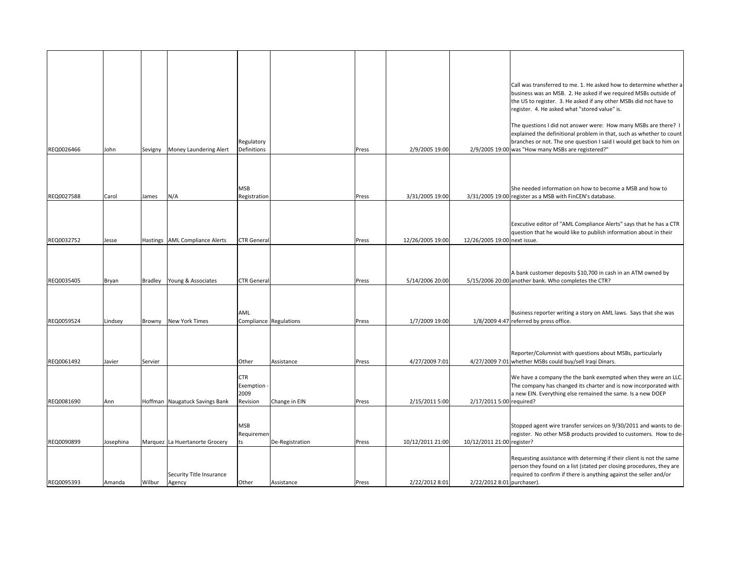|            |           |         |                                |                                        |                        |       |                  |                              | Call was transferred to me. 1. He asked how to determine whether a<br>business was an MSB. 2. He asked if we required MSBs outside of<br>the US to register. 3. He asked if any other MSBs did not have to<br>register. 4. He asked what "stored value" is.          |
|------------|-----------|---------|--------------------------------|----------------------------------------|------------------------|-------|------------------|------------------------------|----------------------------------------------------------------------------------------------------------------------------------------------------------------------------------------------------------------------------------------------------------------------|
| REQ0026466 | John      |         | Sevigny Money Laundering Alert | Regulatory<br>Definitions              |                        | Press | 2/9/2005 19:00   |                              | The questions I did not answer were: How many MSBs are there? I<br>explained the definitional problem in that, such as whether to count<br>branches or not. The one question I said I would get back to him on<br>2/9/2005 19:00 was "How many MSBs are registered?" |
|            |           |         |                                |                                        |                        |       |                  |                              |                                                                                                                                                                                                                                                                      |
| REQ0027588 | Carol     | James   | N/A                            | MSB<br>Registration                    |                        | Press | 3/31/2005 19:00  |                              | She needed information on how to become a MSB and how to<br>3/31/2005 19:00 register as a MSB with FinCEN's database.                                                                                                                                                |
| REQ0032752 | Jesse     |         | Hastings AML Compliance Alerts | <b>CTR</b> Genera                      |                        | Press | 12/26/2005 19:00 | 12/26/2005 19:00 next issue. | Eexcutive editor of "AML Compliance Alerts" says that he has a CTR<br>question that he would like to publish information about in their                                                                                                                              |
|            |           |         |                                |                                        |                        |       |                  |                              |                                                                                                                                                                                                                                                                      |
| REQ0035405 | Bryan     | Bradley | Young & Associates             | <b>CTR</b> General                     |                        | Press | 5/14/2006 20:00  |                              | A bank customer deposits \$10,700 in cash in an ATM owned by<br>5/15/2006 20:00 another bank. Who completes the CTR?                                                                                                                                                 |
|            |           |         |                                | AML                                    |                        |       |                  |                              | Business reporter writing a story on AML laws. Says that she was                                                                                                                                                                                                     |
| REQ0059524 | Lindsey   |         | Browny New York Times          |                                        | Compliance Regulations | Press | 1/7/2009 19:00   |                              | 1/8/2009 4:47 referred by press office.                                                                                                                                                                                                                              |
| REQ0061492 | Javier    | Servier |                                | Other                                  | Assistance             | Press | 4/27/2009 7:01   |                              | Reporter/Columnist with questions about MSBs, particularly<br>4/27/2009 7:01 whether MSBs could buy/sell Iraqi Dinars.                                                                                                                                               |
| REQ0081690 | Ann       |         | Hoffman Naugatuck Savings Bank | CTR<br>Exemption -<br>2009<br>Revision | Change in EIN          | Press | 2/15/2011 5:00   | 2/17/2011 5:00 required?     | We have a company the the bank exempted when they were an LLC.<br>The company has changed its charter and is now incorporated with<br>a new EIN. Everything else remained the same. Is a new DOEP                                                                    |
|            |           |         |                                |                                        |                        |       |                  |                              |                                                                                                                                                                                                                                                                      |
| REQ0090899 | Josephina |         | Marquez La Huertanorte Grocery | MSB<br>Requiremen<br>ts                | De-Registration        | Press | 10/12/2011 21:00 | 10/12/2011 21:00 register?   | Stopped agent wire transfer services on 9/30/2011 and wants to de-<br>register. No other MSB products provided to customers. How to de-                                                                                                                              |
|            |           |         | Security Title Insurance       |                                        |                        |       |                  |                              | Requesting assistance with determing if their client is not the same<br>person they found on a list (stated per closing procedures, they are<br>required to confirm if there is anything against the seller and/or                                                   |
| REQ0095393 | Amanda    | Wilbur  | Agency                         | Other                                  | Assistance             | Press | 2/22/2012 8:01   | 2/22/2012 8:01 purchaser).   |                                                                                                                                                                                                                                                                      |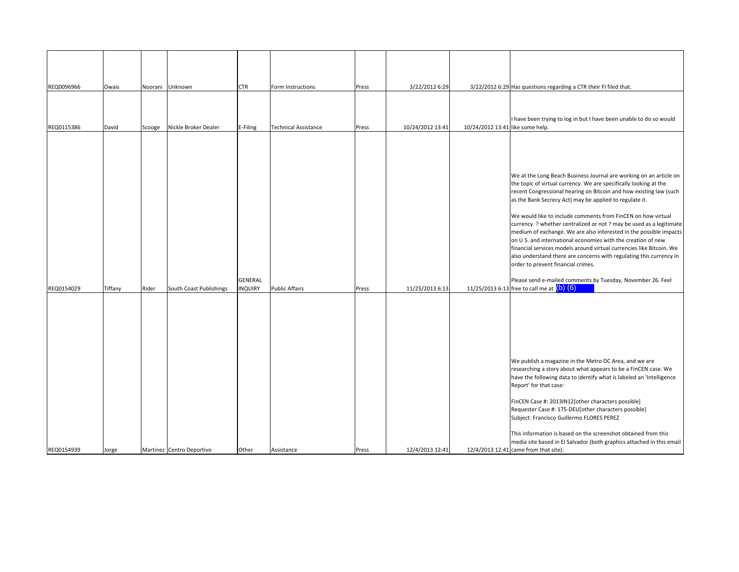| REQ0096966 | Owais   | Noorani | Unknown                   | <b>CTR</b>                | Form Instructions           | Press | 3/22/2012 6:29   |                                  | 3/22/2012 6:29 Has questions regarding a CTR their FI filed that.                                                                                                                                                                                                                                                                                                                                                                                                                                                                                                                                                                                                                                                                                                                                                                                       |
|------------|---------|---------|---------------------------|---------------------------|-----------------------------|-------|------------------|----------------------------------|---------------------------------------------------------------------------------------------------------------------------------------------------------------------------------------------------------------------------------------------------------------------------------------------------------------------------------------------------------------------------------------------------------------------------------------------------------------------------------------------------------------------------------------------------------------------------------------------------------------------------------------------------------------------------------------------------------------------------------------------------------------------------------------------------------------------------------------------------------|
| REQ0115386 | David   | Scooge  | Nickle Broker Dealer      | E-Filing                  | <b>Technical Assistance</b> | Press | 10/24/2012 13:41 | 10/24/2012 13:41 like some help. | I have been trying to log in but I have been unable to do so would                                                                                                                                                                                                                                                                                                                                                                                                                                                                                                                                                                                                                                                                                                                                                                                      |
| REQ0154029 | Tiffany | Rider   | South Coast Publishings   | GENERAL<br><b>INQUIRY</b> | Public Affairs              | Press | 11/25/2013 6:13  |                                  | We at the Long Beach Business Journal are working on an article on<br>the topic of virtual currency. We are specifically looking at the<br>recent Congressional hearing on Bitcoin and how existing law (such<br>as the Bank Secrecy Act) may be applied to regulate it.<br>We would like to include comments from FinCEN on how virtual<br>currency ? whether centralized or not ? may be used as a legitimate<br>medium of exchange. We are also interested in the possible impacts<br>on U S. and international economies with the creation of new<br>financial services models around virtual currencies like Bitcoin. We<br>also understand there are concerns with regulating this currency in<br>order to prevent financial crimes.<br>Please send e-mailed comments by Tuesday, November 26. Feel<br>11/25/2013 6:13 free to call me at (b) (6) |
| REQ0154939 | Jorge   |         | Martinez Centro Deportivo | Other                     | Assistance                  | Press | 12/4/2013 12:41  |                                  | We publish a magazine in the Metro DC Area, and we are<br>researching a story about what appears to be a FinCEN case. We<br>have the following data to identify what is labeled an 'Intelligence<br>Report' for that case:<br>FinCEN Case #: 2013IN12[other characters possible]<br>Requester Case #: 175-DEU[other characters possible]<br>Subject: Francisco Guillermo FLORES PEREZ<br>This information is based on the screenshot obtained from this<br>media site based in El Salvador (both graphics attached in this email<br>12/4/2013 12:41 came from that site):                                                                                                                                                                                                                                                                               |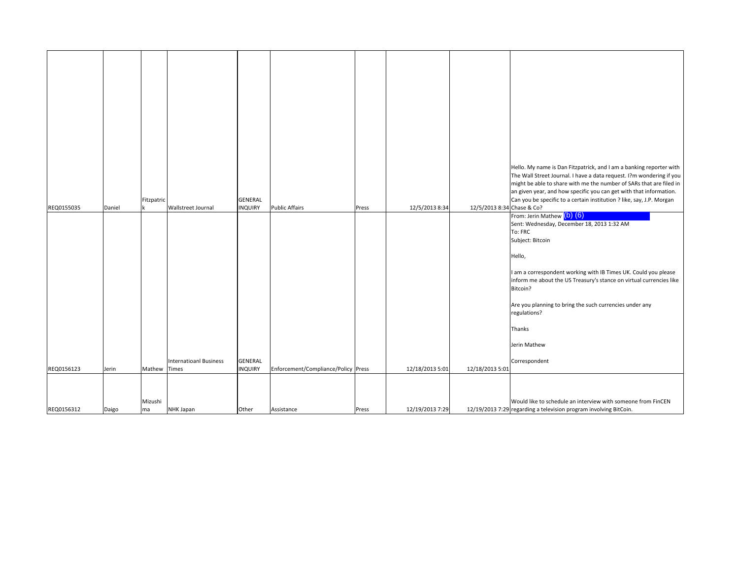| REQ0155035 | Daniel | Fitzpatric    | Wallstreet Journal            | GENERAL<br><b>INQUIRY</b>        | <b>Public Affairs</b>               | Press | 12/5/2013 8:34  | 12/5/2013 8:34 Chase & Co? | Hello. My name is Dan Fitzpatrick, and I am a banking reporter with<br>The Wall Street Journal. I have a data request. I?m wondering if you<br>might be able to share with me the number of SARs that are filed in<br>an given year, and how specific you can get with that information.<br>Can you be specific to a certain institution ? like, say, J.P. Morgan<br>From: Jerin Mathew (b) (6)<br>Sent: Wednesday, December 18, 2013 1:32 AM<br>To: FRC<br>Subject: Bitcoin<br>Hello,<br>I am a correspondent working with IB Times UK. Could you please<br>inform me about the US Treasury's stance on virtual currencies like<br>Bitcoin?<br>Are you planning to bring the such currencies under any<br>regulations? |
|------------|--------|---------------|-------------------------------|----------------------------------|-------------------------------------|-------|-----------------|----------------------------|-------------------------------------------------------------------------------------------------------------------------------------------------------------------------------------------------------------------------------------------------------------------------------------------------------------------------------------------------------------------------------------------------------------------------------------------------------------------------------------------------------------------------------------------------------------------------------------------------------------------------------------------------------------------------------------------------------------------------|
|            |        |               |                               |                                  |                                     |       |                 |                            | Thanks<br>Jerin Mathew                                                                                                                                                                                                                                                                                                                                                                                                                                                                                                                                                                                                                                                                                                  |
| REQ0156123 | Jerin  | Mathew Times  | <b>Internatioanl Business</b> | <b>GENERAL</b><br><b>INQUIRY</b> | Enforcement/Compliance/Policy Press |       | 12/18/2013 5:01 | 12/18/2013 5:01            | Correspondent                                                                                                                                                                                                                                                                                                                                                                                                                                                                                                                                                                                                                                                                                                           |
|            |        |               |                               |                                  |                                     |       |                 |                            |                                                                                                                                                                                                                                                                                                                                                                                                                                                                                                                                                                                                                                                                                                                         |
| REQ0156312 | Daigo  | Mizushi<br>ma | NHK Japan                     | Other                            | Assistance                          | Press | 12/19/2013 7:29 |                            | Would like to schedule an interview with someone from FinCEN<br>12/19/2013 7:29 regarding a television program involving BitCoin.                                                                                                                                                                                                                                                                                                                                                                                                                                                                                                                                                                                       |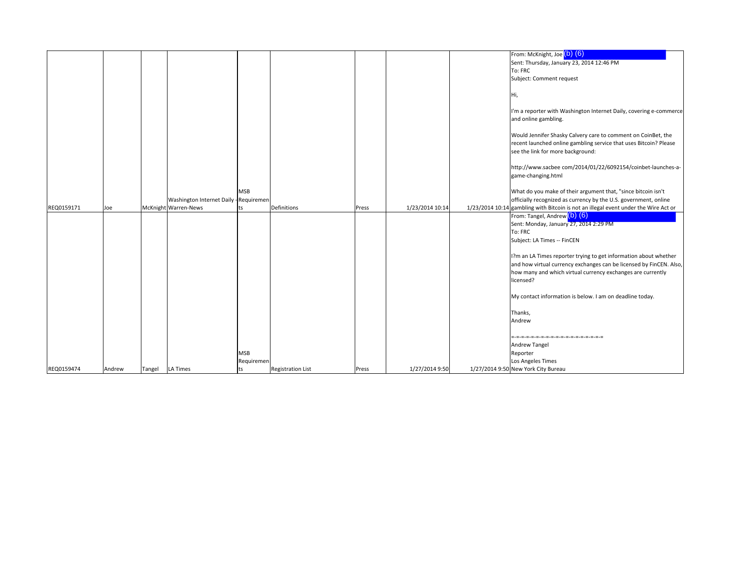|            |        |        |                                        |            |                          |       |                 | From: McKnight, Joe (b) (6)                                                                                                                                                                                                                                                                                                                                                                                                                                                              |
|------------|--------|--------|----------------------------------------|------------|--------------------------|-------|-----------------|------------------------------------------------------------------------------------------------------------------------------------------------------------------------------------------------------------------------------------------------------------------------------------------------------------------------------------------------------------------------------------------------------------------------------------------------------------------------------------------|
|            |        |        |                                        |            |                          |       |                 | Sent: Thursday, January 23, 2014 12:46 PM                                                                                                                                                                                                                                                                                                                                                                                                                                                |
|            |        |        |                                        |            |                          |       |                 | To: FRC                                                                                                                                                                                                                                                                                                                                                                                                                                                                                  |
|            |        |        |                                        |            |                          |       |                 | Subject: Comment request                                                                                                                                                                                                                                                                                                                                                                                                                                                                 |
|            |        |        |                                        |            |                          |       |                 |                                                                                                                                                                                                                                                                                                                                                                                                                                                                                          |
|            |        |        |                                        |            |                          |       |                 | Hi,                                                                                                                                                                                                                                                                                                                                                                                                                                                                                      |
|            |        |        |                                        |            |                          |       |                 | I'm a reporter with Washington Internet Daily, covering e-commerce<br>and online gambling.                                                                                                                                                                                                                                                                                                                                                                                               |
|            |        |        |                                        |            |                          |       |                 | Would Jennifer Shasky Calvery care to comment on CoinBet, the<br>recent launched online gambling service that uses Bitcoin? Please<br>see the link for more background:                                                                                                                                                                                                                                                                                                                  |
|            |        |        |                                        |            |                          |       |                 | http://www.sacbee com/2014/01/22/6092154/coinbet-launches-a-<br>game-changing.html                                                                                                                                                                                                                                                                                                                                                                                                       |
|            |        |        |                                        | <b>MSB</b> |                          |       |                 | What do you make of their argument that, "since bitcoin isn't                                                                                                                                                                                                                                                                                                                                                                                                                            |
|            |        |        | Washington Internet Daily - Requiremen |            |                          |       |                 | officially recognized as currency by the U.S. government, online                                                                                                                                                                                                                                                                                                                                                                                                                         |
| REQ0159171 | Joe    |        | McKnight Warren-News                   |            | Definitions              | Press | 1/23/2014 10:14 | 1/23/2014 10:14 gambling with Bitcoin is not an illegal event under the Wire Act or                                                                                                                                                                                                                                                                                                                                                                                                      |
|            |        |        |                                        |            |                          |       |                 | From: Tangel, Andrew <sup>(b)</sup> (6)<br>Sent: Monday, January 27, 2014 2:29 PM<br>To: FRC<br>Subject: LA Times -- FinCEN<br>1?m an LA Times reporter trying to get information about whether<br>and how virtual currency exchanges can be licensed by FinCEN. Also,<br>how many and which virtual currency exchanges are currently<br>licensed?<br>My contact information is below. I am on deadline today.<br>Thanks,<br>Andrew<br>-------------------------<br><b>Andrew Tangel</b> |
|            |        |        |                                        | <b>MSB</b> |                          |       |                 | Reporter                                                                                                                                                                                                                                                                                                                                                                                                                                                                                 |
| REQ0159474 |        |        | <b>LA Times</b>                        | Requiremer |                          |       | 1/27/2014 9:50  | Los Angeles Times<br>1/27/2014 9:50 New York City Bureau                                                                                                                                                                                                                                                                                                                                                                                                                                 |
|            | Andrew | Tangel |                                        | ts         | <b>Registration List</b> | Press |                 |                                                                                                                                                                                                                                                                                                                                                                                                                                                                                          |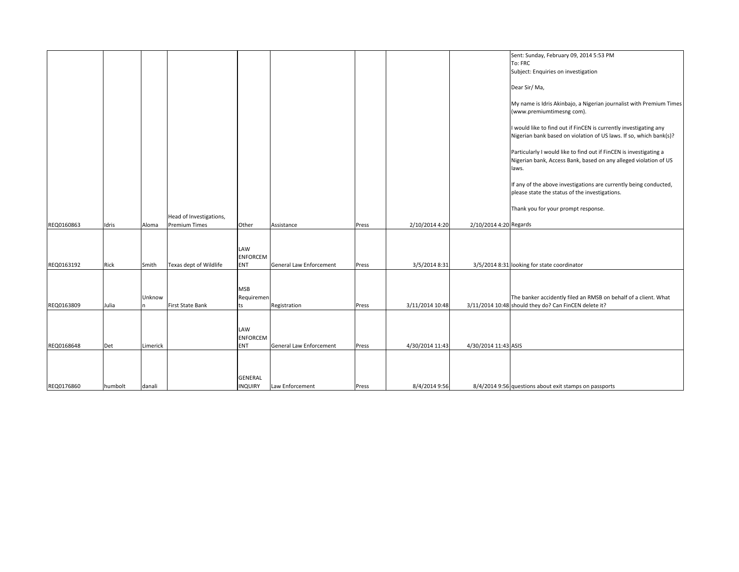|            |         |          |                         |                                      |                         |       |                 |                        | Sent: Sunday, February 09, 2014 5:53 PM<br>To: FRC                                                                                              |
|------------|---------|----------|-------------------------|--------------------------------------|-------------------------|-------|-----------------|------------------------|-------------------------------------------------------------------------------------------------------------------------------------------------|
|            |         |          |                         |                                      |                         |       |                 |                        | Subject: Enquiries on investigation<br>Dear Sir/Ma,                                                                                             |
|            |         |          |                         |                                      |                         |       |                 |                        | My name is Idris Akinbajo, a Nigerian journalist with Premium Times<br>(www.premiumtimesng com).                                                |
|            |         |          |                         |                                      |                         |       |                 |                        | I would like to find out if FinCEN is currently investigating any<br>Nigerian bank based on violation of US laws. If so, which bank(s)?         |
|            |         |          |                         |                                      |                         |       |                 |                        | Particularly I would like to find out if FinCEN is investigating a<br>Nigerian bank, Access Bank, based on any alleged violation of US<br>laws. |
|            |         |          |                         |                                      |                         |       |                 |                        | If any of the above investigations are currently being conducted,<br>please state the status of the investigations.                             |
|            |         |          | Head of Investigations, |                                      |                         |       |                 |                        | Thank you for your prompt response.                                                                                                             |
| REQ0160863 | Idris   | Aloma    | <b>Premium Times</b>    | Other                                | Assistance              | Press | 2/10/2014 4:20  | 2/10/2014 4:20 Regards |                                                                                                                                                 |
| REQ0163192 | Rick    | Smith    | Texas dept of Wildlife  | LAW<br><b>ENFORCEM</b><br><b>ENT</b> | General Law Enforcement | Press | 3/5/2014 8:31   |                        | 3/5/2014 8:31 looking for state coordinator                                                                                                     |
|            |         |          |                         |                                      |                         |       |                 |                        |                                                                                                                                                 |
| REQ0163809 | Julia   | Unknow   | <b>First State Bank</b> | <b>MSB</b><br>Requiremen<br>ts       | Registration            | Press | 3/11/2014 10:48 |                        | The banker accidently filed an RMSB on behalf of a client. What<br>3/11/2014 10:48 should they do? Can FinCEN delete it?                        |
| REQ0168648 | Det     | Limerick |                         | LAW<br><b>ENFORCEM</b><br><b>ENT</b> | General Law Enforcement | Press | 4/30/2014 11:43 | 4/30/2014 11:43 ASIS   |                                                                                                                                                 |
|            |         |          |                         |                                      |                         |       |                 |                        |                                                                                                                                                 |
| REQ0176860 | humbolt | danali   |                         | <b>GENERAL</b><br><b>INQUIRY</b>     | Law Enforcement         | Press | 8/4/2014 9:56   |                        | 8/4/2014 9:56 questions about exit stamps on passports                                                                                          |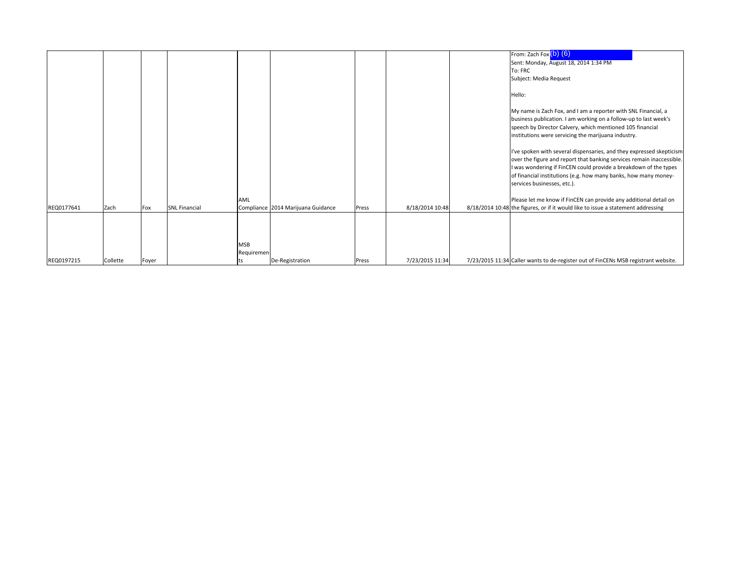|            |          |              |                      |            |                                    |       |                 | From: Zach Fox $(b)$ $(6)$                                                                                                          |
|------------|----------|--------------|----------------------|------------|------------------------------------|-------|-----------------|-------------------------------------------------------------------------------------------------------------------------------------|
|            |          |              |                      |            |                                    |       |                 | Sent: Monday, August 18, 2014 1:34 PM                                                                                               |
|            |          |              |                      |            |                                    |       |                 | To: FRC                                                                                                                             |
|            |          |              |                      |            |                                    |       |                 | Subject: Media Request                                                                                                              |
|            |          |              |                      |            |                                    |       |                 | Hello:                                                                                                                              |
|            |          |              |                      |            |                                    |       |                 | My name is Zach Fox, and I am a reporter with SNL Financial, a                                                                      |
|            |          |              |                      |            |                                    |       |                 | business publication. I am working on a follow-up to last week's                                                                    |
|            |          |              |                      |            |                                    |       |                 | speech by Director Calvery, which mentioned 105 financial                                                                           |
|            |          |              |                      |            |                                    |       |                 | institutions were servicing the marijuana industry.                                                                                 |
|            |          |              |                      |            |                                    |       |                 |                                                                                                                                     |
|            |          |              |                      |            |                                    |       |                 | I've spoken with several dispensaries, and they expressed skepticism                                                                |
|            |          |              |                      |            |                                    |       |                 | over the figure and report that banking services remain inaccessible.                                                               |
|            |          |              |                      |            |                                    |       |                 | I was wondering if FinCEN could provide a breakdown of the types<br>of financial institutions (e.g. how many banks, how many money- |
|            |          |              |                      |            |                                    |       |                 | services businesses, etc.).                                                                                                         |
|            |          |              |                      |            |                                    |       |                 |                                                                                                                                     |
|            |          |              |                      | AML        |                                    |       |                 | Please let me know if FinCEN can provide any additional detail on                                                                   |
| REQ0177641 | Zach     | Fox          | <b>SNL Financial</b> |            | Compliance 2014 Marijuana Guidance | Press | 8/18/2014 10:48 | 8/18/2014 10:48 the figures, or if it would like to issue a statement addressing                                                    |
|            |          |              |                      |            |                                    |       |                 |                                                                                                                                     |
|            |          |              |                      |            |                                    |       |                 |                                                                                                                                     |
|            |          |              |                      |            |                                    |       |                 |                                                                                                                                     |
|            |          |              |                      | <b>MSB</b> |                                    |       |                 |                                                                                                                                     |
|            |          |              |                      | Requiremen |                                    |       |                 |                                                                                                                                     |
| REQ0197215 | Collette | <b>Fover</b> |                      |            | De-Registration                    | Press | 7/23/2015 11:34 | 7/23/2015 11:34 Caller wants to de-register out of FinCENs MSB registrant website.                                                  |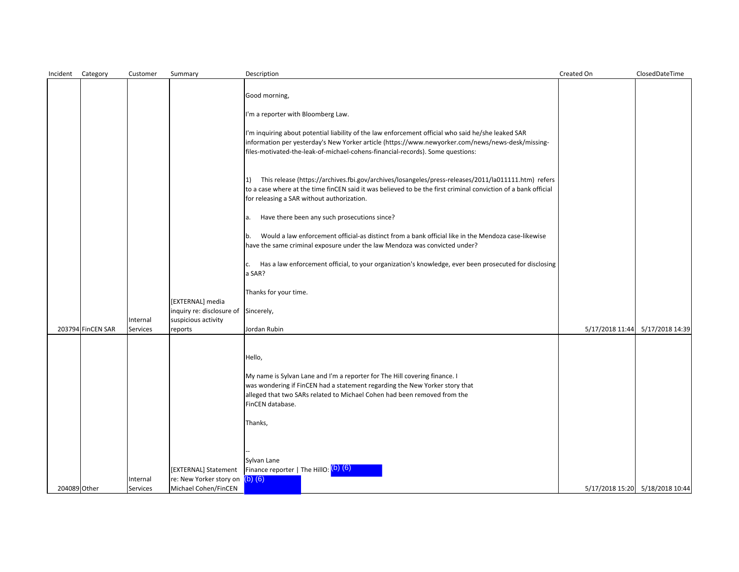| Incident     | Category          | Customer             | Summary                                         | Description                                                                                                                                                                                                                                                                               | Created On      | ClosedDateTime                  |
|--------------|-------------------|----------------------|-------------------------------------------------|-------------------------------------------------------------------------------------------------------------------------------------------------------------------------------------------------------------------------------------------------------------------------------------------|-----------------|---------------------------------|
|              |                   |                      |                                                 |                                                                                                                                                                                                                                                                                           |                 |                                 |
|              |                   |                      |                                                 | Good morning,                                                                                                                                                                                                                                                                             |                 |                                 |
|              |                   |                      |                                                 | I'm a reporter with Bloomberg Law.                                                                                                                                                                                                                                                        |                 |                                 |
|              |                   |                      |                                                 | I'm inquiring about potential liability of the law enforcement official who said he/she leaked SAR<br>information per yesterday's New Yorker article (https://www.newyorker.com/news/news-desk/missing-<br>files-motivated-the-leak-of-michael-cohens-financial-records). Some questions: |                 |                                 |
|              |                   |                      |                                                 | This release (https://archives.fbi.gov/archives/losangeles/press-releases/2011/la011111.htm) refers<br>$\vert 1 \rangle$<br>to a case where at the time finCEN said it was believed to be the first criminal conviction of a bank official<br>for releasing a SAR without authorization.  |                 |                                 |
|              |                   |                      |                                                 | Have there been any such prosecutions since?<br>a.                                                                                                                                                                                                                                        |                 |                                 |
|              |                   |                      |                                                 | Would a law enforcement official-as distinct from a bank official like in the Mendoza case-likewise<br>Ib.<br>have the same criminal exposure under the law Mendoza was convicted under?                                                                                                  |                 |                                 |
|              |                   |                      |                                                 | Has a law enforcement official, to your organization's knowledge, ever been prosecuted for disclosing<br>c.<br>a SAR?                                                                                                                                                                     |                 |                                 |
|              |                   |                      |                                                 | Thanks for your time.                                                                                                                                                                                                                                                                     |                 |                                 |
|              |                   |                      | [EXTERNAL] media                                |                                                                                                                                                                                                                                                                                           |                 |                                 |
|              |                   |                      | inquiry re: disclosure of Sincerely,            |                                                                                                                                                                                                                                                                                           |                 |                                 |
|              | 203794 FinCEN SAR | Internal<br>Services | suspicious activity<br>reports                  | Jordan Rubin                                                                                                                                                                                                                                                                              | 5/17/2018 11:44 | 5/17/2018 14:39                 |
|              |                   |                      |                                                 | Hello,                                                                                                                                                                                                                                                                                    |                 |                                 |
|              |                   |                      |                                                 | My name is Sylvan Lane and I'm a reporter for The Hill covering finance. I<br>was wondering if FinCEN had a statement regarding the New Yorker story that<br>alleged that two SARs related to Michael Cohen had been removed from the<br>FinCEN database.                                 |                 |                                 |
|              |                   |                      |                                                 | Thanks,                                                                                                                                                                                                                                                                                   |                 |                                 |
|              |                   | Internal             | [EXTERNAL] Statement<br>re: New Yorker story on | Sylvan Lane<br>Finance reporter   The HillO: (b) (6)<br>$(b)$ $(6)$                                                                                                                                                                                                                       |                 |                                 |
| 204089 Other |                   | <b>Services</b>      | Michael Cohen/FinCEN                            |                                                                                                                                                                                                                                                                                           |                 | 5/17/2018 15:20 5/18/2018 10:44 |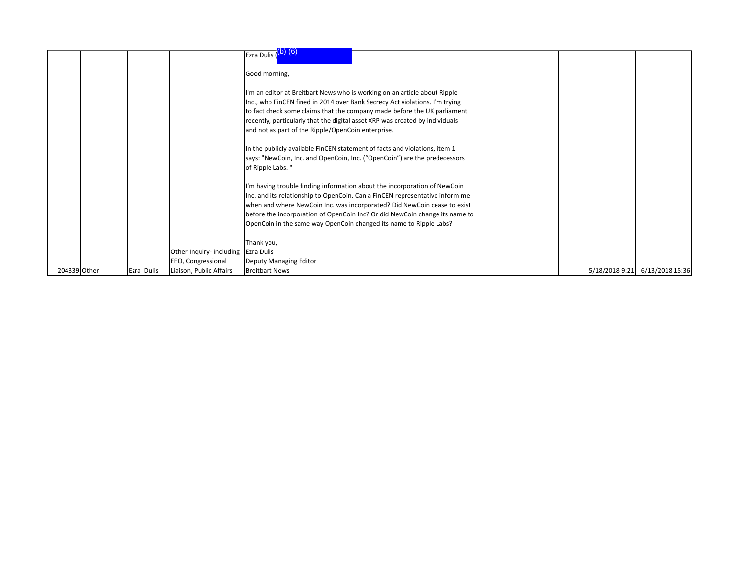|              |            |                                     | Ezra Dulis (D) (6)                                                                            |                |                 |
|--------------|------------|-------------------------------------|-----------------------------------------------------------------------------------------------|----------------|-----------------|
|              |            |                                     |                                                                                               |                |                 |
|              |            |                                     | Good morning,                                                                                 |                |                 |
|              |            |                                     |                                                                                               |                |                 |
|              |            |                                     | I'm an editor at Breitbart News who is working on an article about Ripple                     |                |                 |
|              |            |                                     | Inc., who FinCEN fined in 2014 over Bank Secrecy Act violations. I'm trying                   |                |                 |
|              |            |                                     | to fact check some claims that the company made before the UK parliament                      |                |                 |
|              |            |                                     | recently, particularly that the digital asset XRP was created by individuals                  |                |                 |
|              |            |                                     | and not as part of the Ripple/OpenCoin enterprise.                                            |                |                 |
|              |            |                                     |                                                                                               |                |                 |
|              |            |                                     | In the publicly available FinCEN statement of facts and violations, item 1                    |                |                 |
|              |            |                                     | says: "NewCoin, Inc. and OpenCoin, Inc. ("OpenCoin") are the predecessors<br>of Ripple Labs." |                |                 |
|              |            |                                     |                                                                                               |                |                 |
|              |            |                                     | I'm having trouble finding information about the incorporation of NewCoin                     |                |                 |
|              |            |                                     | Inc. and its relationship to OpenCoin. Can a FinCEN representative inform me                  |                |                 |
|              |            |                                     | when and where NewCoin Inc. was incorporated? Did NewCoin cease to exist                      |                |                 |
|              |            |                                     | before the incorporation of OpenCoin Inc? Or did NewCoin change its name to                   |                |                 |
|              |            |                                     | OpenCoin in the same way OpenCoin changed its name to Ripple Labs?                            |                |                 |
|              |            |                                     |                                                                                               |                |                 |
|              |            |                                     | Thank you,                                                                                    |                |                 |
|              |            | Other Inquiry- including Ezra Dulis |                                                                                               |                |                 |
|              |            | EEO, Congressional                  | Deputy Managing Editor                                                                        |                |                 |
| 204339 Other | Ezra Dulis | Liaison, Public Affairs             | <b>Breitbart News</b>                                                                         | 5/18/2018 9:21 | 6/13/2018 15:36 |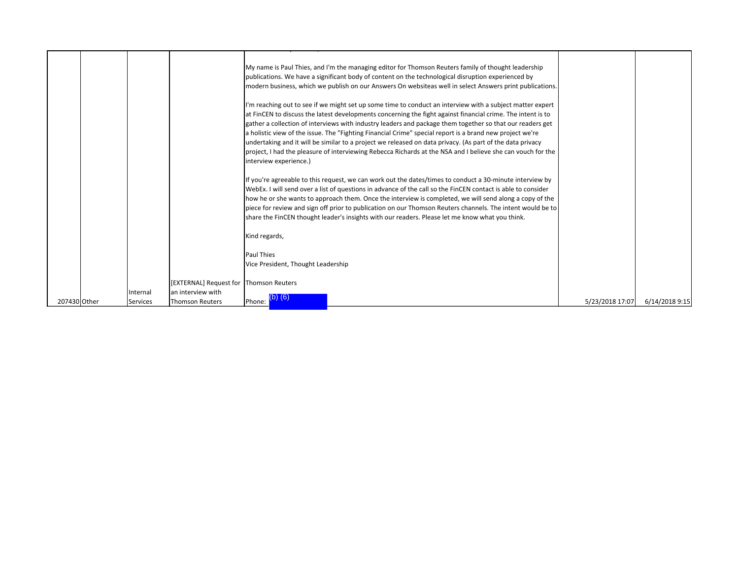|              |          |                                             | My name is Paul Thies, and I'm the managing editor for Thomson Reuters family of thought leadership<br>publications. We have a significant body of content on the technological disruption experienced by<br>modern business, which we publish on our Answers On websiteas well in select Answers print publications.                                                                                                                                                                                                                                                                                                                                                                                   |                 |                |
|--------------|----------|---------------------------------------------|---------------------------------------------------------------------------------------------------------------------------------------------------------------------------------------------------------------------------------------------------------------------------------------------------------------------------------------------------------------------------------------------------------------------------------------------------------------------------------------------------------------------------------------------------------------------------------------------------------------------------------------------------------------------------------------------------------|-----------------|----------------|
|              |          |                                             | I'm reaching out to see if we might set up some time to conduct an interview with a subject matter expert<br>at FinCEN to discuss the latest developments concerning the fight against financial crime. The intent is to<br>gather a collection of interviews with industry leaders and package them together so that our readers get<br>a holistic view of the issue. The "Fighting Financial Crime" special report is a brand new project we're<br>undertaking and it will be similar to a project we released on data privacy. (As part of the data privacy<br>project, I had the pleasure of interviewing Rebecca Richards at the NSA and I believe she can vouch for the<br>interview experience.) |                 |                |
|              |          |                                             | If you're agreeable to this request, we can work out the dates/times to conduct a 30-minute interview by<br>WebEx. I will send over a list of questions in advance of the call so the FinCEN contact is able to consider<br>how he or she wants to approach them. Once the interview is completed, we will send along a copy of the<br>piece for review and sign off prior to publication on our Thomson Reuters channels. The intent would be to<br>share the FinCEN thought leader's insights with our readers. Please let me know what you think.                                                                                                                                                    |                 |                |
|              |          |                                             | Kind regards,                                                                                                                                                                                                                                                                                                                                                                                                                                                                                                                                                                                                                                                                                           |                 |                |
|              |          |                                             | Paul Thies<br>Vice President, Thought Leadership                                                                                                                                                                                                                                                                                                                                                                                                                                                                                                                                                                                                                                                        |                 |                |
|              | Internal | [EXTERNAL] Request for<br>an interview with | <b>Thomson Reuters</b>                                                                                                                                                                                                                                                                                                                                                                                                                                                                                                                                                                                                                                                                                  |                 |                |
| 207430 Other | Services | Thomson Reuters                             | Phone:                                                                                                                                                                                                                                                                                                                                                                                                                                                                                                                                                                                                                                                                                                  | 5/23/2018 17:07 | 6/14/2018 9:15 |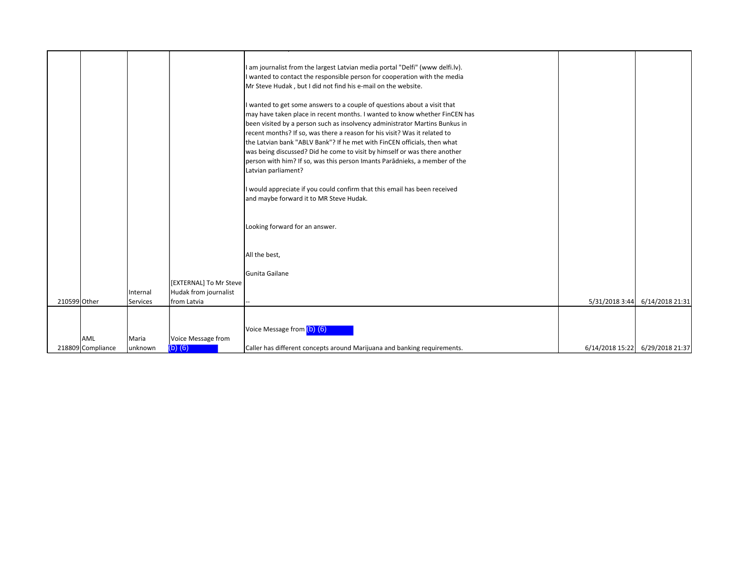|              |                   |                 |                        | I am journalist from the largest Latvian media portal "Delfi" (www delfi.lv).<br>I wanted to contact the responsible person for cooperation with the media<br>Mr Steve Hudak, but I did not find his e-mail on the website.<br>I wanted to get some answers to a couple of questions about a visit that<br>may have taken place in recent months. I wanted to know whether FinCEN has<br>been visited by a person such as insolvency administrator Martins Bunkus in<br>recent months? If so, was there a reason for his visit? Was it related to<br>the Latvian bank "ABLV Bank"? If he met with FinCEN officials, then what<br>was being discussed? Did he come to visit by himself or was there another<br>person with him? If so, was this person Imants Paradnieks, a member of the<br>Latvian parliament?<br>I would appreciate if you could confirm that this email has been received<br>and maybe forward it to MR Steve Hudak.<br>Looking forward for an answer. |                |                                 |
|--------------|-------------------|-----------------|------------------------|---------------------------------------------------------------------------------------------------------------------------------------------------------------------------------------------------------------------------------------------------------------------------------------------------------------------------------------------------------------------------------------------------------------------------------------------------------------------------------------------------------------------------------------------------------------------------------------------------------------------------------------------------------------------------------------------------------------------------------------------------------------------------------------------------------------------------------------------------------------------------------------------------------------------------------------------------------------------------|----------------|---------------------------------|
|              |                   |                 |                        | All the best,<br>Gunita Gailane                                                                                                                                                                                                                                                                                                                                                                                                                                                                                                                                                                                                                                                                                                                                                                                                                                                                                                                                           |                |                                 |
|              |                   |                 | [EXTERNAL] To Mr Steve |                                                                                                                                                                                                                                                                                                                                                                                                                                                                                                                                                                                                                                                                                                                                                                                                                                                                                                                                                                           |                |                                 |
|              |                   | Internal        | Hudak from journalist  |                                                                                                                                                                                                                                                                                                                                                                                                                                                                                                                                                                                                                                                                                                                                                                                                                                                                                                                                                                           |                |                                 |
| 210599 Other |                   | <b>Services</b> | from Latvia            |                                                                                                                                                                                                                                                                                                                                                                                                                                                                                                                                                                                                                                                                                                                                                                                                                                                                                                                                                                           | 5/31/2018 3:44 | 6/14/2018 21:31                 |
|              |                   |                 |                        | Voice Message from (b) (6)                                                                                                                                                                                                                                                                                                                                                                                                                                                                                                                                                                                                                                                                                                                                                                                                                                                                                                                                                |                |                                 |
|              | <b>AML</b>        | Maria           | Voice Message from     |                                                                                                                                                                                                                                                                                                                                                                                                                                                                                                                                                                                                                                                                                                                                                                                                                                                                                                                                                                           |                |                                 |
|              | 218809 Compliance | unknown         | $(b)$ $(6)$            | Caller has different concepts around Marijuana and banking requirements.                                                                                                                                                                                                                                                                                                                                                                                                                                                                                                                                                                                                                                                                                                                                                                                                                                                                                                  |                | 6/14/2018 15:22 6/29/2018 21:37 |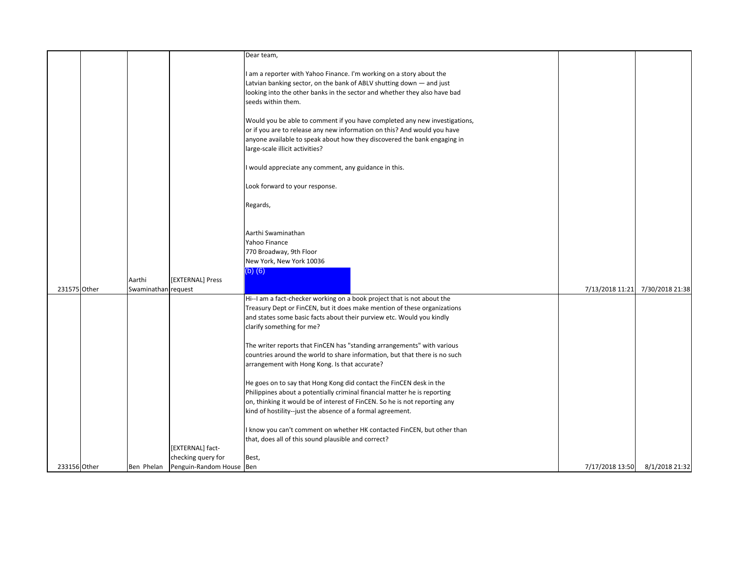|              |                     |                                     | Dear team,                                                                                                                                              |                 |                 |
|--------------|---------------------|-------------------------------------|---------------------------------------------------------------------------------------------------------------------------------------------------------|-----------------|-----------------|
|              |                     |                                     | I am a reporter with Yahoo Finance. I'm working on a story about the                                                                                    |                 |                 |
|              |                     |                                     | Latvian banking sector, on the bank of ABLV shutting down - and just                                                                                    |                 |                 |
|              |                     |                                     | looking into the other banks in the sector and whether they also have bad                                                                               |                 |                 |
|              |                     |                                     | seeds within them.                                                                                                                                      |                 |                 |
|              |                     |                                     |                                                                                                                                                         |                 |                 |
|              |                     |                                     | Would you be able to comment if you have completed any new investigations,                                                                              |                 |                 |
|              |                     |                                     | or if you are to release any new information on this? And would you have                                                                                |                 |                 |
|              |                     |                                     | anyone available to speak about how they discovered the bank engaging in<br>large-scale illicit activities?                                             |                 |                 |
|              |                     |                                     |                                                                                                                                                         |                 |                 |
|              |                     |                                     | I would appreciate any comment, any guidance in this.                                                                                                   |                 |                 |
|              |                     |                                     |                                                                                                                                                         |                 |                 |
|              |                     |                                     | Look forward to your response.                                                                                                                          |                 |                 |
|              |                     |                                     | Regards,                                                                                                                                                |                 |                 |
|              |                     |                                     |                                                                                                                                                         |                 |                 |
|              |                     |                                     |                                                                                                                                                         |                 |                 |
|              |                     |                                     | Aarthi Swaminathan                                                                                                                                      |                 |                 |
|              |                     |                                     | Yahoo Finance                                                                                                                                           |                 |                 |
|              |                     |                                     | 770 Broadway, 9th Floor<br>New York, New York 10036                                                                                                     |                 |                 |
|              |                     |                                     | $(b)$ $(6)$                                                                                                                                             |                 |                 |
|              | Aarthi              | [EXTERNAL] Press                    |                                                                                                                                                         |                 |                 |
| 231575 Other | Swaminathan request |                                     |                                                                                                                                                         | 7/13/2018 11:21 | 7/30/2018 21:38 |
|              |                     |                                     | Hi--I am a fact-checker working on a book project that is not about the                                                                                 |                 |                 |
|              |                     |                                     | Treasury Dept or FinCEN, but it does make mention of these organizations                                                                                |                 |                 |
|              |                     |                                     | and states some basic facts about their purview etc. Would you kindly                                                                                   |                 |                 |
|              |                     |                                     | clarify something for me?                                                                                                                               |                 |                 |
|              |                     |                                     | The writer reports that FinCEN has "standing arrangements" with various                                                                                 |                 |                 |
|              |                     |                                     | countries around the world to share information, but that there is no such                                                                              |                 |                 |
|              |                     |                                     | arrangement with Hong Kong. Is that accurate?                                                                                                           |                 |                 |
|              |                     |                                     |                                                                                                                                                         |                 |                 |
|              |                     |                                     | He goes on to say that Hong Kong did contact the FinCEN desk in the                                                                                     |                 |                 |
|              |                     |                                     | Philippines about a potentially criminal financial matter he is reporting<br>on, thinking it would be of interest of FinCEN. So he is not reporting any |                 |                 |
|              |                     |                                     | kind of hostility--just the absence of a formal agreement.                                                                                              |                 |                 |
|              |                     |                                     |                                                                                                                                                         |                 |                 |
|              |                     |                                     | I know you can't comment on whether HK contacted FinCEN, but other than                                                                                 |                 |                 |
|              |                     |                                     | that, does all of this sound plausible and correct?                                                                                                     |                 |                 |
|              |                     | [EXTERNAL] fact-                    |                                                                                                                                                         |                 |                 |
|              |                     | checking query for                  | Best,                                                                                                                                                   |                 |                 |
| 233156 Other |                     | Ben Phelan Penguin-Random House Ben |                                                                                                                                                         | 7/17/2018 13:50 | 8/1/2018 21:32  |